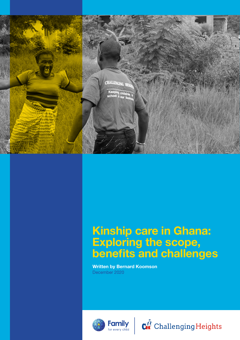

## Kinship care in Ghana: Exploring the scope, benefits and challenges

Written by Bernard Koomson December 2020



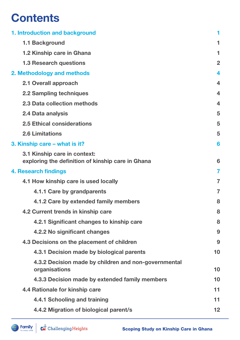## **Contents**

| 1. Introduction and background                                                    | 1                       |  |
|-----------------------------------------------------------------------------------|-------------------------|--|
| <b>1.1 Background</b>                                                             | 1                       |  |
| 1.2 Kinship care in Ghana                                                         | 1                       |  |
| <b>1.3 Research questions</b>                                                     | $\overline{2}$          |  |
| 2. Methodology and methods                                                        | 4                       |  |
| 2.1 Overall approach                                                              | $\overline{\mathbf{4}}$ |  |
| <b>2.2 Sampling techniques</b>                                                    | $\overline{\mathbf{4}}$ |  |
| 2.3 Data collection methods                                                       | $\overline{\mathbf{4}}$ |  |
| 2.4 Data analysis                                                                 | 5                       |  |
| <b>2.5 Ethical considerations</b>                                                 | 5                       |  |
| <b>2.6 Limitations</b>                                                            | 5                       |  |
| 3. Kinship care – what is it?                                                     | 6                       |  |
| 3.1 Kinship care in context:<br>exploring the definition of kinship care in Ghana | 6                       |  |
| <b>4. Research findings</b>                                                       |                         |  |
| 4.1 How kinship care is used locally                                              | $\overline{7}$          |  |
| 4.1.1 Care by grandparents                                                        | $\overline{7}$          |  |
| 4.1.2 Care by extended family members                                             | 8                       |  |
| 4.2 Current trends in kinship care                                                | 8                       |  |
| 4.2.1 Significant changes to kinship care                                         | 8                       |  |
| 4.2.2 No significant changes                                                      | 9                       |  |
| 4.3 Decisions on the placement of children                                        | 9                       |  |
| 4.3.1 Decision made by biological parents                                         | 10                      |  |
| 4.3.2 Decision made by children and non-governmental<br>organisations             | 10                      |  |
| 4.3.3 Decision made by extended family members                                    | 10                      |  |
| 4.4 Rationale for kinship care                                                    | 11                      |  |
| 4.4.1 Schooling and training                                                      | 11                      |  |
| 4.4.2 Migration of biological parent/s                                            | 12                      |  |
|                                                                                   |                         |  |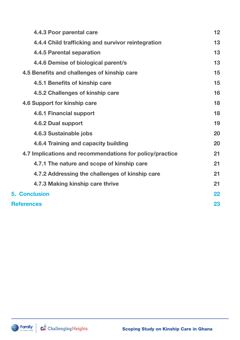|                                                          | 4.4.3 Poor parental care                           | 12 |  |
|----------------------------------------------------------|----------------------------------------------------|----|--|
|                                                          | 4.4.4 Child trafficking and survivor reintegration | 13 |  |
|                                                          | <b>4.4.5 Parental separation</b>                   | 13 |  |
|                                                          | 4.4.6 Demise of biological parent/s                | 13 |  |
|                                                          | 4.5 Benefits and challenges of kinship care        | 15 |  |
|                                                          | 4.5.1 Benefits of kinship care                     | 15 |  |
|                                                          | 4.5.2 Challenges of kinship care                   | 16 |  |
|                                                          | 4.6 Support for kinship care                       | 18 |  |
|                                                          | <b>4.6.1 Financial support</b>                     | 18 |  |
|                                                          | 4.6.2 Dual support                                 | 19 |  |
|                                                          | 4.6.3 Sustainable jobs                             | 20 |  |
|                                                          | 4.6.4 Training and capacity building               | 20 |  |
| 4.7 Implications and recommendations for policy/practice |                                                    |    |  |
|                                                          | 4.7.1 The nature and scope of kinship care         | 21 |  |
|                                                          | 4.7.2 Addressing the challenges of kinship care    | 21 |  |
|                                                          | 4.7.3 Making kinship care thrive                   | 21 |  |
|                                                          | <b>5. Conclusion</b>                               | 22 |  |
|                                                          | <b>References</b>                                  |    |  |

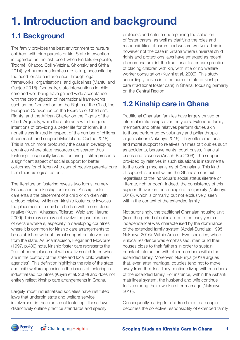# 1. Introduction and background

## 1.1 Background

The family provides the best environment to nurture children, with birth parents or kin. State intervention is regarded as the last resort when kin fails (Esposito, Trocmé, Chabot, Collin-Vézina, Shlonsky and Sinha 2014), yet numerous families are failing, necessitating the need for state interference through legal frameworks, organisations, and guidelines (Manful and Cudjoe 2018). Generally, state interventions in child care and well-being have gained wide acceptance with the promulgation of international frameworks such as the Convention on the Rights of the Child, the European Convention on the Exercise of Children's Rights, and the African Charter on the Rights of the Child. Arguably, while the state acts with the good intentions of providing a better life for children, it is nonetheless limited in respect of the number of children it can reach and support (Manful and Cudjoe 2018). This is much more profoundly the case in developing countries where state resources are scarce; thus fostering – especially kinship fostering – still represents a significant aspect of social support for better outcomes for children who cannot receive parental care from their biological parent.

The literature on fostering reveals two forms, namely kinship and non-kinship foster care. Kinship foster care entails the placement of a child or children with a blood relative, while non-kinship foster care involves the placement of a child or children with a non-blood relative (Kuyini, Alhassan, Tollerud, Weld and Haruna 2009). This may or may not involve the participation of welfare workers, especially in developing countries where it is common for kinship care arrangements to be established without formal support or intervention from the state. As Scannapieco, Hegar and McAlpine (1997, p.480) note, kinship foster care represents the "out-of-home placement with relatives of children who are in the custody of the state and local child welfare agencies". This definition highlights the role of the state and child welfare agencies in the issues of fostering in industrialised countries (Kuyini et al. 2009) and does not entirely reflect kinship care arrangements in Ghana.

Largely, most industrialised societies have instituted laws that underpin state and welfare service involvement in the practice of fostering. These laws distinctively outline practice standards and specify

protocols and criteria underpinning the selection of foster carers, as well as clarifying the roles and responsibilities of carers and welfare workers. This is however not the case in Ghana where universal child rights and protections laws have emerged as recent phenomena amidst the traditional foster care practice of placing children with kin, with little or no welfare worker consultation (Kuyini et al. 2009). This study accordingly delves into the current state of kinship care (traditional foster care) in Ghana, focusing primarily on the Central Region.

## 1.2 Kinship care in Ghana

Traditional Ghanaian families have largely thrived on informal relationships over the years. Extended family members and other relatives perform duties akin to those performed by voluntary and philanthropic organisations (Nukunya 2016). They offer emotional and moral support to relatives in times of troubles such as accidents, bereavements, court cases, financial crises and sickness (Ansah-Koi 2006). The support provided by relatives in such situations is instrumental to the coping mechanisms of Ghanaians. This kind of support is crucial within the Ghanaian context, regardless of the individual's social status (literate or illiterate, rich or poor). Indeed, the consistency of this support thrives on the principle of reciprocity (Nukunya 2016), which is primarily, but not exclusively, seen within the context of the extended family.

Not surprisingly, the traditional Ghanaian housing unit (from the period of colonialism to the early years of independence) was characterised by the dominance of the extended family system (Addai-Sundiata 1995; Nukunya 2016). Within Anlo or Ewe societies, where virilocal residence was emphasised, men build their houses close to their father's in order to sustain constant interaction with other members within the extended family. Moreover, Nukunya (2016) argues that, even after marriage, couples tend not to move away from their kin. They continue living with members of the extended family. For instance, within the Ashanti matrilineal system, the husband and wife continue to live among their own kin after marriage (Nukunya 2016).

Consequently, caring for children born to a couple becomes the collective responsibility of extended family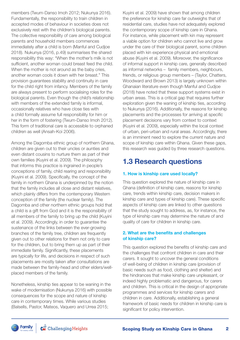members (Twum-Danso Imoh 2012; Nukunya 2016). Fundamentally, the responsibility to train children in accepted modes of behaviour in societies does not exclusively rest with the children's biological parents. The collective responsibility of care among biological parents and household members commences immediately after a child is born (Manful and Cudjoe 2018). Nukunya (2016, p.49) summarises the shared responsibility this way: "When the mother's milk is not sufficient, another woman could breast feed the child. When the mother is not around as the baby cries. another woman cools it down with her breast." This provision guarantees stability and continuity in care for the child right from infancy. Members of the family are always present to perform socialising roles for the biological parents. Even though the child's relationship with members of the extended family is informal, occasionally relatives who have close ties with a child formally assume full responsibility for him or her in the form of fostering (Twum-Danso Imoh 2012). This form of traditional care is accessible to orphaned children as well (Ansah-Koi 2006).

Among the Dagomba ethnic group of northern Ghana, children are given out to their uncles or aunties and even distant cousins to nurture them as part of their own families (Kuyini et al. 2009). The philosophy that informs this practice is ingrained in people's conceptions of family, child rearing and responsibility (Kuyini et al. 2009). Specifically, the concept of the family in northern Ghana is underpinned by the notion that the family includes all close and distant relatives, which plainly differs from the contemporary Western conception of the family (the nuclear family). The Dagomba and other northern ethnic groups hold that a child is a gift from God and it is the responsibility of all members of the family to bring up the child (Kuyini et al. 2009). Accordingly, in order to guarantee the sustenance of the links between the ever-growing branches of the family tree, children are frequently given out to other relations for them not only to care for the children, but to bring them up as part of their immediate family. Significantly, these placements are typically for life, and decisions in respect of such placements are mostly taken after consultations are made between the family-head and other elders/wellplaced members of the family.

Nonetheless, kinship ties appear to be waning in the wake of modernisation (Nukunya 2016) with possible consequences for the scope and nature of kinship care in contemporary times. While various studies (Balsells, Pastor, Mateos, Vaquero and Urrea 2015;

Kuyini et al. 2009) have shown that among children the preference for kinship care far outweighs that of residential care, studies have not adequately explored the contemporary scope of kinship care in Ghana. For instance, while placement with kin may represent a viable option for children who cannot live and grow under the care of their biological parent, some children placed with kin experience physical and emotional abuse (Kuyini et al. 2009). Moreover, the significance of informal support in kinship care, generally described as informal networks – family members, neighbours, friends, or religious group members – (Taylor, Chatters, Woodward and Brown 2013) is largely unknown within Ghanaian literature even though Manful and Cudjoe (2018) have noted that these support systems exist in urban areas. This is a critical gap that requires further exploration given the waning of kinship ties, according to Nukunya (2016). Additionally, the reasons for kinship placements and the processes for arriving at specific placement decisions vary from context to context (Kuyini et al. 2009), especially within the local context of urban, peri-urban and rural areas. Accordingly, there is an imminent need to explore the current nature and scope of kinship care within Ghana. Given these gaps, this research was guided by three research questions.

## 1.3 Research questions

#### 1. How is kinship care used locally?

This question explored the nature of kinship care in Ghana (definition of kinship care, reasons for kinship care, trends within kinship care, decision makers in kinship care and types of kinship care). These specific aspects of kinship care are linked to other questions that the study sought to address, as, for instance, the type of kinship care may determine the nature of and quality of care for children in kinship care.

#### 2. What are the benefits and challenges of kinship care?

This question explored the benefits of kinship care and the challenges that confront children in care and their carers. It sought to uncover the general conditions of well-being of children in kinship care (provision of basic needs such as food, clothing and shelter) and the hindrances that make kinship care unpleasant, or indeed highly problematic and dangerous, for carers and children. This is critical in the design of appropriate programmes and services for kinship carers and children in care. Additionally, establishing a general framework of basic needs for children in kinship care is significant for policy intervention.

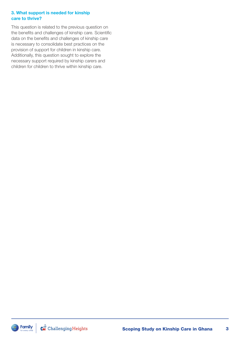#### 3. What support is needed for kinship care to thrive?

This question is related to the previous question on the benefits and challenges of kinship care. Scientific data on the benefits and challenges of kinship care is necessary to consolidate best practices on the provision of support for children in kinship care. Additionally, this question sought to explore the necessary support required by kinship carers and children for children to thrive within kinship care.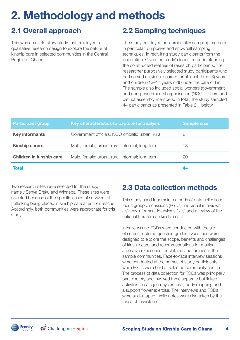## 2. Methodology and methods

## 2.1 Overall approach

This was an exploratory study that employed a qualitative research design to explore the nature of kinship care in selected communities in the Central Region of Ghana.

## 2.2 Sampling techniques

The study employed non-probability sampling methods, in particular, purposive and snowball sampling techniques, in recruiting study participants from the population. Given the study's focus on understanding the constructed realities of research participants, the researcher purposively selected study participants who had served as kinship carers for at least three (3) years and children (13–17 years old) under the care of kin. The sample also included social workers (government and non-governmental organisation (NGO) officers and district assembly members. In total, the study sampled 44 participants as presented in Table 2.1 below.

| <b>Participant group</b>        | Key characteristics to capture for analysis       | <b>Sample size</b> |
|---------------------------------|---------------------------------------------------|--------------------|
| <b>Key informants</b>           | Government officials, NGO officials; urban, rural | 6                  |
| <b>Kinship carers</b>           | Male, female; urban, rural; informal; long term   | 18                 |
| <b>Children in kinship care</b> | Male, female; urban, rural; informal; long term   | 20                 |
| <b>Total</b>                    |                                                   | 44                 |

Two research sites were selected for the study, namely Senya Breku and Winneba. These sites were selected because of the specific cases of survivors of trafficking being placed in kinship care after their rescue. Accordingly, both communities were appropriate for this study.

## 2.3 Data collection methods

This study used four main methods of data collection: focus group discussions (FGDs), individual interviews (IIs), key informant interviews (KIIs) and a review of the national literature on kinship care.

Interviews and FGDs were conducted with the aid of semi-structured question guides. Questions were designed to explore the scope, benefits and challenges of kinship care, and recommendations for making it a positive experience for children and families in the sample communities. Face-to-face interview sessions were conducted at the homes of study participants, while FGDs were held at selected community centres. The process of data collection for FGDs was principally participatory and involved three separate but linked activities: a care journey exercise, body mapping and a support flower exercise. The interviews and FGDs were audio-taped, while notes were also taken by the research assistants.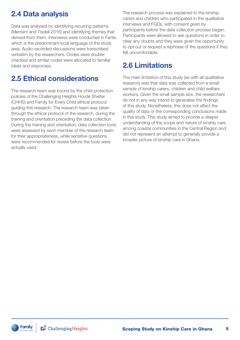## 2.4 Data analysis

Data was analysed by identifying recurring patterns (Merriam and Tisdell 2016) and identifying themes that derived from them. Interviews were conducted in Fante, which is the predominant local language of the study area. Audio-recorded discussions were transcribed verbatim by the researchers. Codes were doublechecked and similar codes were allocated to familiar ideas and responses.

## 2.5 Ethical considerations

The research team was bound by the child protection policies of the Challenging Heights Hovde Shelter (CHHS) and Family for Every Child ethical protocol guiding this research. The research team was taken through the ethical protocol of the research, during the training and orientation preceding the data collection. During the training and orientation, data collection tools were assessed by each member of the research team for their appropriateness, while sensitive questions were recommended for review before the tools were actually used.

The research process was explained to the kinship carers and children who participated in the qualitative interviews and FGDs, with consent given by participants before the data collection process began. Participants were allowed to ask questions in order to clear any doubts and they were given the opportunity to opt out or request a rephrase of the questions if they felt uncomfortable.

## 2.6 Limitations

The main limitation of this study (as with all qualitative research) was that data was collected from a small sample of kinship carers, children and child welfare workers. Given the small sample size, the researchers do not in any way intend to generalise the findings of this study. Nonetheless, this does not affect the quality of data or the corresponding conclusions made in this study. This study aimed to provide a deeper understanding of the scope and nature of kinship care among coastal communities in the Central Region and did not represent an attempt to generally provide a broader picture of kinship care in Ghana.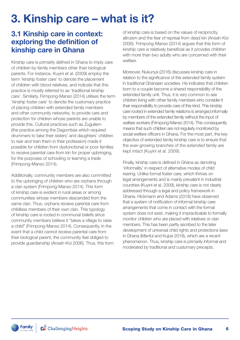## 3. Kinship care – what is it?

## 3.1 Kinship care in context: exploring the definition of kinship care in Ghana

Kinship care is primarily defined in Ghana to imply care of children by family members other than biological parents. For instance, Kuyini et al. (2009) employ the term 'kinship foster care' to denote the placement of children with blood relatives, and indicate that this practice is mostly referred to as 'traditional kinship care'. Similarly, Firmpong-Manso (2014) utilises the term 'kinship foster care' to denote the customary practice of placing children with extended family members and other community networks, to provide care and protection for children whose parents are unable to provide this. Cultural practices such as Zuguliem (the practice among the Dagombas which required drummers to take their sisters' and daughters' children to rear and train them in their profession) made it possible for children from dysfunctional or poor families to receive parental care from kin for proper upbringing, for the purposes of schooling or learning a trade (Frimpong-Manso 2014).

Additionally, community members are also committed to the upbringing of children who are orphans through a clan system (Frimpong-Manso 2014). This form of kinship care is evident in rural areas or among communities whose members descended from the same clan. Thus, orphans receive parental care from childless members of their own clan. This typology of kinship care is rooted in communal beliefs since community members believe it "takes a village to raise a child" (Frimpong-Manso 2014). Consequently, in the event that a child cannot receive parental care from their biological parent, the community feel obliged to provide guardianship (Ansah-Koi 2006). Thus, this form of kinship care is based on the values of reciprocity, altruism and the fear of reprisal from dead kin (Ansah-Koi 2006). Frimpong-Manso (2014) argues that this form of kinship care is relatively beneficial as it provides children with more than two adults who are concerned with their welfare.

Moreover, Nukunya (2016) discusses kinship care in relation to the significance of the extended family system in traditional Ghanaian societies. He indicates that children born to a couple become a shared responsibility of the extended family unit. Thus, it is very common to see children living with other family members who consider it their responsibility to provide care of this kind. This kinship care rooted in extended family relations is arranged informally by members of the extended family without the input of welfare workers (Frimpong-Manso 2014). This consequently means that such children are not regularly monitored by social welfare officers in Ghana. For the most part, the key objective of extended family kinship care is to ensure that the ever-growing branches of the extended family are kept intact (Kuyini et al. 2009).

Finally, kinship care is defined in Ghana as denoting 'informality' in respect of alternative modes of child rearing. Unlike formal foster care, which thrives on legal arrangements and is mainly prevalent in industrial countries (Kuyini et al. 2009), kinship care is not clearly addressed through a legal and policy framework in Ghana. Hickmann and Adams (2018) have observed that a system of notification of informal kinship care arrangements that come in contact with the formal system does not exist, making it impracticable to formally monitor children who are placed with relatives or clan members. This has been partly ascribed to the later development of universal child rights and protections laws in Ghana (Manful and Kujoe 2018), which are a recent phenomenon. Thus, kinship care is primarily informal and moderated by traditional and customary precepts.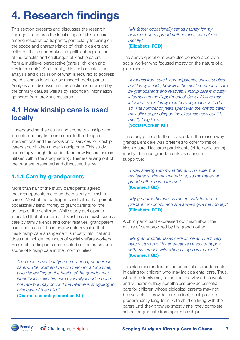## 4. Research findings

This section presents and discusses the research findings. It captures the local usage of kinship care among research participants, particularly focusing on the scope and characteristics of kinship carers and children. It also undertakes a significant exploration of the benefits and challenges of kinship carers from a multilevel perspective (carers, children and key informants). Additionally, this section entails an analysis and discussion of what is required to address the challenges identified by research participants. Analysis and discussion in this section is informed by the primary data as well as by secondary information gathered from previous research.

## 4.1 How kinship care is used locally

Understanding the nature and scope of kinship care in contemporary times is crucial to the design of interventions and the provision of services for kinship carers and children under kinship care. This study accordingly sought to understand how kinship care is utilised within the study setting. Themes arising out of the data are presented and discussed below.

#### 4.1.1 Care by grandparents

More than half of the study participants agreed that grandparents make up the majority of kinship carers. Most of the participants indicated that parents occasionally send money to grandparents for the upkeep of their children. While study participants indicated that other forms of kinship care exist, such as care by family friends and other relatives, grandparent care dominated. The interview data revealed that this kinship care arrangement is mostly informal and does not include the inputs of social welfare workers. Research participants commented on the nature and scope of kinship care in their communities:

*"The most prevalent type here is the grandparent carers. The children live with them for a long time, also depending on the health of the grandparent. Nonetheless, kinship care by family friends is also not rare but may occur if the relative is struggling to take care of the child."* 

(District assembly member, KII)

*"My father occasionally sends money for my upkeep, but my grandmother takes care of me mostly."*  (Elizabeth, FGD)

The above quotations were also corroborated by a social worker who focused mostly on the nature of a placement:

*"It ranges from care by grandparents, uncles/aunties and family friends; however, the most common is care by grandparents and relatives. Kinship care is mostly informal and the Department of Social Welfare may intervene when family members approach us to do so. The number of years spent with the kinship carer may differ depending on the circumstances but it is mostly long term."*  (Social worker, KII)

The study probed further to ascertain the reason why grandparent care was preferred to other forms of kinship care. Research participants (child participants) mostly identified grandparents as caring and supportive:

*"I was staying with my father and his wife, but my father's wife maltreated me, so my maternal grandmother came for me."*  (Kwame, FGD)

*"My grandmother wakes me up early for me to prepare for school, and she always give me money."*  (Elizabeth, FGD)

A child participant expressed optimism about the nature of care provided by his grandmother:

*"My grandmother takes care of me and I am very happy staying with her because I was not happy with my father's wife when I stayed with them."*  (Kwame, FGD)

This statement indicates the potential of grandparents in caring for children who may lack parental care. Thus, while the elderly may sometimes be viewed as weak and vulnerable, they nonetheless provide essential care for children whose biological parents may not be available to provide care. In fact, kinship care is predominantly long-term, with children living with their carers until they grow up (mostly after they complete school or graduate from apprenticeship).

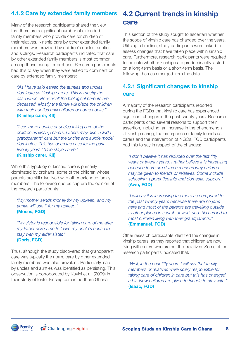Many of the research participants shared the view that there are a significant number of extended family members who provide care for children of their relatives. Kinship care by other extended family members was provided by children's uncles, aunties and siblings. Research participants indicated that care by other extended family members is most common among those caring for orphans. Research participants had this to say when they were asked to comment on care by extended family members:

*"As I have said earlier, the aunties and uncles dominate as kinship carers. This is mostly the case when either or all the biological parents are deceased. Mostly the family will place the children with their aunties until children become adults."*  (Kinship carer, KII)

*"I see more aunties or uncles taking care of the children as kinship carers. Others may also include grandparents' care but the uncles and auntie model dominates. This has been the case for the past twenty years I have stayed here."*  (Kinship carer, KII)

While this typology of kinship care is primarily dominated by orphans, some of the children whose parents are still alive lived with other extended family members. The following quotes capture the opinion of the research participants:

*"My mother sends money for my upkeep, and my auntie will use it for my upkeep."*  (Moses, FGD)

*"My sister is responsible for taking care of me after my father asked me to leave my uncle's house to stay with my elder sister."*  (Doris, FGD)

Thus, although the study discovered that grandparent care was typically the norm, care by other extended family members was also prevalent. Particularly, care by uncles and aunties was identified as persisting. This observation is corroborated by Kuyini et al. (2009) in their study of foster kinship care in northern Ghana.

## 4.1.2 Care by extended family members 4.2 Current trends in kinship care

This section of the study sought to ascertain whether the scope of kinship care has changed over the years. Utilising a timeline, study participants were asked to assess changes that have taken place within kinship care. Furthermore, research participants were required to indicate whether kinship care predominantly lasted on a long-term basis or a short-term basis. The following themes emerged from the data.

### 4.2.1 Significant changes to kinship care

A majority of the research participants reported during the FGDs that kinship care has experienced significant changes in the past twenty years. Research participants cited several reasons to support their assertion, including: an increase in the phenomenon of kinship caring, the emergence of family friends as carers and the intervention of NGOs. FGD participants had this to say in respect of the changes:

*"I don't believe it has reduced over the last fifty years or twenty years, I rather believe it is increasing because there are diverse reasons why children may be given to friends or relatives. Some include schooling, apprenticeship and domestic support."* (Awo, FGD)

*"I will say it is increasing the more as compared to the past twenty years because there are no jobs here and most of the parents are travelling outside to other places in search of work and this has led to most children living with their grandparents."* (Emmanuel, FGD)

Other research participants identified the changes in kinship carers, as they reported that children are now living with carers who are not their relatives. Some of the research participants indicated that:

*"Well, in the past fifty years I will say that family members or relatives were solely responsible for taking care of children in care but this has changed a bit. Now children are given to friends to stay with."*  (Isaac, FGD)

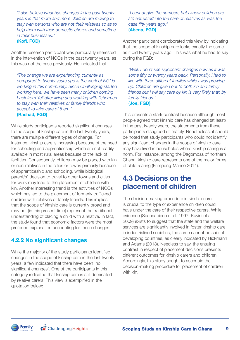*"I also believe what has changed in the past twenty years is that more and more children are moving to stay with persons who are not their relatives so as to help them with their domestic chores and sometime in their businesses."*  (Kofi, FGD)

Another research participant was particularly interested in the intervention of NGOs in the past twenty years, as this was not the case previously. He indicated that:

*"The change we are experiencing currently as compared to twenty years ago is the work of NGOs working in this community. Since Challenging started working here, we have seen many children coming back from Yeji after living and working with fishermen to stay with their relatives or family friends who accept to take care of them."*  (Rashad, FGD)

While study participants reported significant changes to the scope of kinship care in the last twenty years, there are multiple different types of change. For instance, kinship care is increasing because of the need for schooling and apprenticeship which are not readily available in most rural areas because of the lack of facilities. Consequently, children may be placed with kin or non-relatives in the cities or towns primarily because of apprenticeship and schooling, while biological parent/s' decision to travel to other towns and cities for work may lead to the placement of children with kin. Another interesting trend is the activities of NGOs which has led to the placement of formerly trafficked children with relatives or family friends. This implies that the scope of kinship care is currently broad and may not (in this present time) represent the traditional understanding of placing a child with a relative. In fact, the study found that economic factors were the most profound explanation accounting for these changes.

#### 4.2.2 No significant changes

While the majority of the study participants identified changes in the scope of kinship care in the last twenty years, a few indicated that there have been 'no significant changes'. One of the participants in this category indicated that kinship care is still dominated by relative carers. This view is exemplified in the quotation below:

*"I cannot give the numbers but I know children are still entrusted into the care of relatives as was the case fifty years ago."* (Abena, FGD)

Another participant corroborated this view by indicating that the scope of kinship care looks exactly the same as it did twenty years ago. This was what he had to say during the FGD:

*"Well, I don't see significant changes now as it was some fifty or twenty years back. Personally, I had to live with three different families while I was growing up. Children are given out to both kin and family friends but I will say care by kin is very likely than by family friends."*

(Joe, FGD)

This presents a stark contrast because although most people agreed that kinship care has changed (at least) in the past twenty years, the statements from these participants disagreed ultimately. Nonetheless, it should be noted that study participants who could not identify any significant changes in the scope of kinship care may have lived in households where kinship caring is a norm. For instance, among the Dagombas of northern Ghana, kinship care represents one of the major forms of child rearing (Frimpong-Manso 2014).

## 4.3 Decisions on the placement of children

The decision-making procedure in kinship care is crucial to the type of experience children could have under the care of their respective carers. While evidence (Scannapieco et al. 1997; Kuyini et al. 2009) exists to suggest that the state and the welfare services are significantly involved in foster kinship care in industrialised societies, the same cannot be said of developing countries, as clearly indicated by Hickmann and Adams (2018). Needless to say, the ensuing contrast in respect of placement decisions presents different outcomes for kinship carers and children. Accordingly, this study sought to ascertain the decision-making procedure for placement of children with kin.

 $\mathbf{C}^{\hat{A}}$  Challenging Heights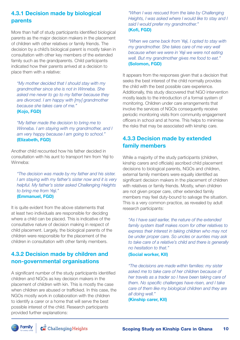#### 4.3.1 Decision made by biological parents

More than half of study participants identified biological parents as the major decision makers in the placement of children with other relatives or family friends. The decision by a child's biological parent is mostly taken in consultation with other key members of the extended family such as the grandparents. Child participants indicated how their parents arrived at a decision to place them with a relative:

*"My mother decided that I should stay with my grandmother since she is not in Winneba. She asked me never to go to my father because they are divorced. I am happy with [my] grandmother because she takes care of me."* (Kojo, FGD)

*"My father made the decision to bring me to Winneba. I am staying with my grandmother, and I am very happy because I am going to school."* (Elizabeth, FGD)

Another child recounted how his father decided in consultation with his aunt to transport him from Yeji to Winneba:

*"The decision was made by my father and his sister. I am staying with my father's sister now and it is very helpful. My father's sister asked Challenging Heights to bring me from Yeji."*  (Emmanuel, FGD)

It is quite evident from the above statements that at least two individuals are responsible for deciding where a child can be placed. This is indicative of the consultative nature of decision making in respect of child placement. Largely, the biological parents of the children were responsible for the placement of the children in consultation with other family members.

#### 4.3.2 Decision made by children and non-governmental organisations

A significant number of the study participants identified children and NGOs as key decision makers in the placement of children with kin. This is mostly the case when children are abused or trafficked. In this case, the NGOs mostly work in collaboration with the children to identify a carer or a home that will serve the best possible interest of the child. Research participants provided further explanations:

*"When I was rescued from the lake by Challenging Heights, I was asked where I would like to stay and I said I would prefer my grandmother."* (Kofi, FGD)

*"When we came back from Yeji, I opted to stay with my grandmother. She takes care of me very well because when we were in Yeji we were not eating well. But my grandmother gives me food to eat."* (Solomon, FGD)

It appears from the responses given that a decision that seeks the best interest of the child normally provides the child with the best possible care experience. Additionally, this study discovered that NGO intervention mostly leads to the introduction of a formal system of monitoring. Children under care arrangements that involve the services of NGOs consequently receive periodic monitoring visits from community engagement officers in school and at home. This helps to minimise the risks that may be associated with kinship care.

#### 4.3.3 Decision made by extended family members

While a majority of the study participants (children, kinship carers and officials) ascribed child placement decisions to biological parents, NGOs and children, external family members were equally identified as significant decision makers in the placement of children with relatives or family friends. Mostly, when children are not given proper care, other extended family members may feel duty-bound to salvage the situation. This is a very common practice, as revealed by adult research participants:

*"As I have said earlier, the nature of the extended family system itself makes room for other relatives to express their interest in taking children who may not be under proper care. So uncles or aunties may ask to take care of a relative's child and there is generally no hesitation to that."* 

(Social worker, KII)

*"The decisions are made within families: my sister asked me to take care of her children because of her travels as a trader so I have been taking care of them. No specific challenges have risen, and I take care of them like my biological children and they are all doing well."*

(Kinship carer, KII)

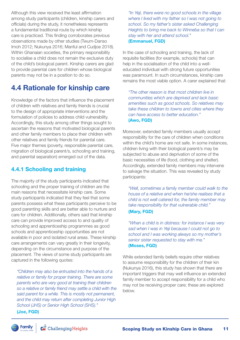Although this view received the least affirmation among study participants (children, kinship carers and officials) during the study, it nonetheless represents a fundamental traditional route by which kinship care is practiced. This finding corroborates previous observations made by other studies (Twum-Danso Imoh 2012; Nukunya 2016; Manful and Cudjoe 2018). Within Ghanaian societies, the primary responsibility to socialise a child does not remain the exclusive duty of the child's biological parent. Kinship carers are glad to provide parental care for children whose biological parents may not be in a position to do so.

## 4.4 Rationale for kinship care

Knowledge of the factors that influence the placement of children with relatives and family friends is crucial to the design of appropriate interventions and the formulation of policies to address child vulnerability. Accordingly, this study among other things sought to ascertain the reasons that motivated biological parents and other family members to place their children with other relatives and family friends for parental care. Five major themes (poverty, responsible parental care, migration of biological parent/s, schooling and training, and parental separation) emerged out of the data.

#### 4.4.1 Schooling and training

The majority of the study participants indicated that schooling and the proper training of children are the main reasons that necessitate kinship care. Some study participants indicated that they feel that some parents possess what these participants perceive to be good parenting skills and are better able to nurture and care for children. Additionally, others said that kinship care can provide improved access to and quality of schooling and apprenticeship programmes as good schools and apprenticeship opportunities are not available in poor and isolated rural areas. These kinship care arrangements can vary greatly in their longevity, depending on the circumstance and purpose of the placement. The views of some study participants are captured in the following quotes:

*"Children may also be entrusted into the hands of a relative or family for proper training. There are some parents who are very good at training their children so a relative or family friend may settle a child with the said parent for a while. This is mostly not permanent, and the child may return after completing Junior High School (JHS) or Senior High School (SHS)."*  (Joe, FGD)

*"In Yeji, there were no good schools in the village where I lived with my father so I was not going to school. So my father's sister asked Challenging Heights to bring me back to Winneba so that I can stay with her and attend school."*  (Emmanuel, FGD)

In the case of schooling and training, the lack of requisite facilities (for example, schools) that can help in the socialisation of the child into a welleducated individual with strong future opportunities was paramount. In such circumstances, kinship care remains the most viable option. A carer explained that:

*"The other reason is that most children live in communities which are deprived and lack basic amenities such as good schools. So relatives may take these children to towns and cities where they can have access to better education."*  (Awo, FGD)

Moreover, extended family members usually accept responsibility for the care of children when conditions within the child's home are not safe. In some instances, children living with their biological parent/s may be subjected to abuse and deprivation of some of the basic necessities of life (food, clothing and shelter). Accordingly, extended family members may intervene to salvage the situation. This was revealed by study participants:

*"Well, sometimes a family member could walk to the house of a relative and when he/she realises that a child is not well catered for, the family member may take responsibility for that vulnerable child."*  (Mary, FGD)

*"When a child is in distress: for instance I was very sad when I was in Yeji because I could not go to school and I was working always so my mother's senior sister requested to stay with me."*  (Moses, FGD)

While extended family beliefs require other relatives to assume responsibility for the children of their kin (Nukunya 2016), this study has shown that there are important triggers that may well influence an extended family member to accept responsibility for a child who may not be receiving proper care; these are explored below.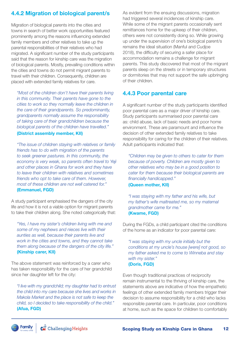### 4.4.2 Migration of biological parent/s

Migration of biological parents into the cities and towns in search of better work opportunities featured prominently among the reasons influencing extended family members and other relatives to take up the parental responsibilities of their relatives who had migrated. A significant number of the study participants said that the reason for kinship care was the migration of biological parents. Mostly, prevailing conditions within the cities and towns do not permit migrant parents to travel with their children. Consequently, children are placed with extended family relatives for care.

*"Most of the children don't have their parents living in this community. Their parents have gone to the cities to work so they normally leave the children in the care of their grandparents. So predominantly, grandparents normally assume the responsibility of taking care of their grandchildren because the biological parents of the children have travelled."* 

#### (District assembly member, KII)

*"The issue of children staying with relatives or family friends has to do with migration of the parents to seek greener pastures. In this community, the economy is very weak, so parents often travel to Yeji and other places in Ghana for work and they have to leave their children with relatives and sometimes friends who opt to take care of them. However, most of these children are not well catered for."*  (Emmanuel, FGD)

A study participant emphasised the dangers of the city life and how it is not a viable option for migrant parents to take their children along. She noted categorically that:

*"Yes, I have my sister's children living with me and some of my nephews and nieces live with their aunties as well, because their parents live and work in the cities and towns, and they cannot take them along because of the dangers of the city life."*  (Kinship carer, KII)

The above statement was reinforced by a carer who has taken responsibility for the care of her grandchild since her daughter left for the city:

*"I live with my grandchild; my daughter had to entrust the child into my care because she lives and works in Makola Market and the place is not safe to keep the child, so I decided to take responsibility of the child."*  (Afua, FGD)

As evident from the ensuing discussions, migration had triggered several incidences of kinship care. While some of the migrant parents occasionally sent remittances home for the upkeep of their children, others were not consistently doing so. While growing up under the supervision of one's biological parent/s remains the ideal situation (Manful and Cudjoe 2018), the difficulty of securing a safer place for accommodation remains a challenge for migrant parents. This study discovered that most of the migrant parents sleep on the streets or in temporary structures or dormitories that may not support the safe upbringing of their children.

#### 4.4.3 Poor parental care

A significant number of the study participants identified poor parental care as a major driver of kinship care. Study participants summarised poor parental care as: child abuse, lack of basic needs and poor home environment. These are paramount and influence the decision of other extended family relatives to take responsibility for caring for the children of their relatives. Adult participants indicated that:

*"Children may be given to others to cater for them because of poverty. Children are mostly given to other relatives who may be in a good position to cater for them because their biological parents are financially handicapped."* 

#### (Queen mother, KII)

*"I was staying with my father and his wife, but my father's wife maltreated me, so my maternal grandmother came for me."*  (Kwame, FGD)

During the FGDs, a child participant cited the conditions of the home as an indicator for poor parental care:

*"I was staying with my uncle initially but the conditions at my uncle's house [were] not good, so my father asked me to come to Winneba and stay with my sister."*  (Doris, FGD)

Even though traditional practices of reciprocity remain instrumental to the thriving of kinship care, the statements above are indicative of how the empathetic feelings of other extended family members trigger their decision to assume responsibility for a child who lacks responsible parental care. In particular, poor conditions at home, such as the space for children to comfortably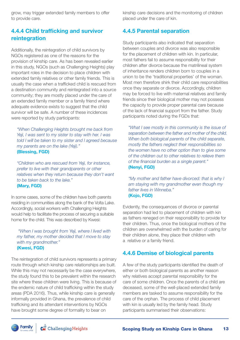grow, may trigger extended family members to offer to provide care.

#### 4.4.4 Child trafficking and survivor reintegration

Additionally, the reintegration of child survivors by NGOs registered as one of the reasons for the provision of kinship care. As has been revealed earlier in this study, NGOs (such as Challenging Heights) play important roles in the decision to place children with extended family relatives or other family friends. This is usually the case when a trafficked child is rescued from a destination community and reintegrated into a source community; they are mostly placed under the care of an extended family member or a family friend where adequate evidence exists to suggest that the child survivor will be safe. A number of these incidences were reported by study participants:

*"When Challenging Heights brought me back from Yeji, I was sent to my sister to stay with her. I was told I will be taken to my sister and I agreed because my parents are on the lake (Yeji)."*  (Blessing, FGD)

*"Children who are rescued from Yeji, for instance, prefer to live with their grandparents or other relatives when they return because they don't want to be taken back to the lake."*  (Mary, FGD)

In some cases, some of the children have both parents residing in communities along the bank of the Volta Lake. Accordingly, social workers with Challenging Heights would help to facilitate the process of securing a suitable home for the child. This was described by Kwesi:

 *"When I was brought from Yeji, where I lived with my father, my mother decided that I move to stay with my grandmother."*  (Kwesi, FGD)

The reintegration of child survivors represents a primary route through which kinship care relationships are built. While this may not necessarily be the case everywhere, the study found this to be prevalent within the research site where these children were living. This is because of the endemic nature of child trafficking within the study areas (PDA 2016). Thus, while kinship care is generally informally provided in Ghana, the prevalence of child trafficking and its attendant interventions by NGOs have brought some degree of formality to bear on

kinship care decisions and the monitoring of children placed under the care of kin.

#### 4.4.5 Parental separation

Study participants also indicated that separation between couples and divorce was also responsible for the placement of children with kin. In particular, most fathers fail to assume responsibility for their children after divorce because the matrilineal system of inheritance renders children born to couples in a union to be the 'traditional properties' of the woman. Most men therefore shirk their child care responsibilities once they separate or divorce. Accordingly, children may be forced to live with maternal relatives and family friends since their biological mother may not possess the capacity to provide proper parental care because of the lack of financial support from the father. Study participants noted during the FGDs that:

*"What I see mostly in this community is the issue of separation between the father and mother of the child. When both biological parents of the child separate, mostly the fathers neglect their responsibilities so the women have no other option than to give some of the children out to other relatives to relieve them of the financial burden as a single parent."*  (Nenyi, FGD)

*"My mother and father have divorced: that is why I am staying with my grandmother even though my father lives in Winneba."*  (Kojo, FGD)

Evidently, the consequences of divorce or parental separation had led to placement of children with kin as fathers reneged on their responsibility to provide for their children. Thus, once the biological mothers of the children are overwhelmed with the burden of caring for their children alone, they place their children with a relative or a family friend.

#### 4.4.6 Demise of biological parents

A few of the study participants identified the death of either or both biological parents as another reason why relatives accept parental responsibility for the care of some children. Once the parents of a child are deceased, some of the well-placed extended family members are tasked to assume responsibility for the care of the orphan. The process of child placement with kin is usually led by the family head. Study participants summarised their observations: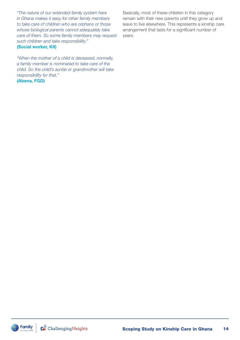*"The nature of our extended family system here in Ghana makes it easy for other family members to take care of children who are orphans or those whose biological parents cannot adequately take care of them. So some family members may request such children and take responsibility."*  (Social worker, KII)

*"When the mother of a child is deceased, normally, a family member is nominated to take care of the child. So the child's auntie or grandmother will take responsibility for that."* 

(Abena, FGD)

Basically, most of these children in this category remain with their new parents until they grow up and leave to live elsewhere. This represents a kinship care arrangement that lasts for a significant number of years.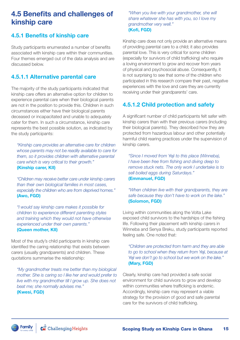## 4.5 Benefits and challenges of kinship care

#### 4.5.1 Benefits of kinship care

Study participants enumerated a number of benefits associated with kinship care within their communities. Four themes emerged out of the data analysis and are discussed below.

#### 4.5.1.1 Alternative parental care

The majority of the study participants indicated that kinship care offers an alternative option for children to experience parental care when their biological parents are not in the position to provide this. Children in such circumstances either have their biological parents deceased or incapacitated and unable to adequately cater for them. In such a circumstance, kinship care represents the best possible solution, as indicated by the study participants:

*"Kinship care provides an alternative care for children whose parents may not be readily available to care for them, so it provides children with alternative parental care which is very critical to their growth."*  (Kinship carer, KII)

*"Children may receive better care under kinship carers than their own biological families in most cases, especially the children who are from deprived homes."*  (Awo, FGD)

*"I would say kinship care makes it possible for children to experience different parenting styles and training which they would not have otherwise experienced under their own parents."*  (Queen mother, KII)

Most of the study's child participants in kinship care identified the caring relationship that exists between carers (usually grandparents) and children. These quotations summarise the relationship:

*"My grandmother treats me better than my biological mother. She is caring so I like her and would prefer to live with my grandmother till I grow up. She does not beat me; she normally advises me."*  (Kwesi, FGD)

*"When you live with your grandmother, she will share whatever she has with you, so I love my grandmother very well."*  (Kofi, FGD)

Kinship care does not only provide an alternative means of providing parental care to a child; it also provides parental love. This is very critical for some children (especially for survivors of child trafficking) who require a loving environment to grow and recover from years of physical and psychosocial abuse. Consequently, it is not surprising to see that some of the children who participated in this research compare their past, negative experiences with the love and care they are currently receiving under their grandparents' care.

#### 4.5.1.2 Child protection and safety

A significant number of child participants felt safer with kinship carers than with their previous carers (including their biological parents). They described how they are protected from hazardous labour and other potentially harmful child rearing practices under the supervision of kinship carers.

*"Since I moved from Yeji to this place (Winneba), I have been free from fishing and diving deep to remove stuck nets. The only work I undertake is to sell boiled eggs during Saturdays."*  (Emmanuel, FGD)

*"When children live with their grandparents, they are safe because they don't have to work on the lake."*  (Solomon, FGD)

Living within communities along the Volta Lake exposed child survivors to the hardships of the fishing life. Following their placement with kinship carers in Winneba and Senya Breku, study participants reported feeling safe. One noted that:

*"Children are protected from harm and they are able to go to school when they return from Yeji, because at Yeji we don't go to school but we work on the lake."*  (Mary, FGD)

Clearly, kinship care had provided a safe social environment for child survivors to grow and develop within communities where trafficking is endemic. Accordingly, kinship care may represent a viable strategy for the provision of good and safe parental care for the survivors of child trafficking.

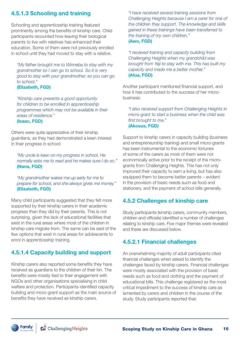#### 4.5.1.3 Schooling and training

Schooling and apprenticeship training featured prominently among the benefits of kinship care. Child participants recounted how leaving their biological parents to live with relatives has enhanced their education. Some of them were not previously enrolled in school until they had moved to stay with a relative.

*"My father brought me to Winneba to stay with my grandmother so I can go to school. So it is very good to stay with your grandmother, so you can go to school."*  (Elizabeth, FGD)

*"Kinship care presents a good opportunity for children to be enrolled in apprenticeship programmes which may not be available in their areas of residence."*  (Isaac, FGD)

Others were quite appreciative of their kinship guardians, as they had demonstrated a keen interest in their progress in school:

*"My uncle is keen on my progress in school. He normally asks me to read and he makes sure I do so."*  (Nana, FGD)

*"My grandmother wakes me up early for me to prepare for school, and she always gives me money."*  (Elizabeth, FGD)

Many child participants suggested that they felt more supported by their kinship carers in their academic progress than they did by their parents. This is not surprising, given the lack of educational facilities that exist in the rural areas where most of the children in kinship care migrate from. The same can be said of the few options that exist in rural areas for adolescents to enrol in apprenticeship training.

### 4.5.1.4 Capacity building and support

Kinship carers also reported some benefits they have received as guardians to the children of their kin. The benefits were mostly tied to their engagement with NGOs and other organisations specialising in child welfare and protection. Participants identified capacity building and micro-grant support as the main source of benefits they have received as kinship carers.

*"I have received several training sessions from Challenging Heights because I am a carer for one of the children they support. The knowledge and skills gained in these trainings have been transferred to the training of my own children."*  (Awo, FGD)

*"I received training and capacity building from Challenging Heights when my grandchild was brought from Yeji to stay with me. This has built my capacity and made me a better mother."*  (Afua, FGD)

Another participant mentioned financial support, and how it has contributed to the success of her microbusiness:

*"I also received support from Challenging Heights in micro-grant to start a business when the child was first brought to me."*  (Akosua, FGD)

Support to kinship carers in capacity building (business and entrepreneurship training) and small micro-grants has been instrumental to the economic fortunes of some of the carers as most of them were not economically active prior to the receipt of the microgrants from Challenging Heights. This has not only improved their capacity to earn a living, but has also equipped them to become better parents – evident in the provision of basic needs such as food and stationery, and the payment of school bills generally.

#### 4.5.2 Challenges of kinship care

Study participants (kinship carers, community members, children and officials) identified a number of challenges relating to kinship care. Five major themes were revealed and these are discussed below.

#### 4.5.2.1 Financial challenges

An overwhelming majority of adult participants cited financial challenges when asked to identify the challenges faced by kinship carers. Financial challenges were mostly associated with the provision of basic needs such as food and clothing and the payment of educational bills. This challenge registered as the most critical impediment to the success of kinship care as lamented by carers and children in the course of the study. Study participants reported that: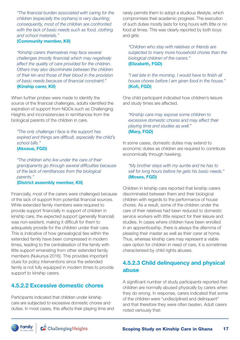*"The financial burden associated with caring for the children (especially the orphans) is very daunting; consequently, most of the children are confronted with the lack of basic needs such as food, clothing and school materials."* 

#### (Community member, KII)

*"Kinship carers themselves may face several challenges (mostly financial) which may negatively affect the quality of care provided for the children. Others may also discriminate between the children of their kin and those of their blood in the provision of basic needs because of financial constraint."*  (Kinship carer, KII)

When further probes were made to identify the source of the financial challenges, adults identified the expiration of support from NGOs such as Challenging Heights and inconsistencies in remittances from the biological parents of the children in care.

*"The only challenge I face is the support has expired and things are difficult, especially the child's school bills."* 

(Akosua, FGD)

*"The children who live under the care of their grandparents go through several difficulties because of the lack of remittances from the biological parents."* 

#### (District assembly member, KII)

Financially, most of the carers were challenged because of the lack of support from potential financial sources. While extended family members were required to provide support financially in support of children in kinship care, the expected support (generally financial) was non-existent, making it difficult for them to adequately provide for the children under their care. This is indicative of how genealogical ties within the extended family have been compressed in modern times, leading to the centralisation of the family with little support emanating from other extended family members (Nukunya 2016). This provides important clues for policy interventions since the extended family is not fully equipped in modern times to provide support to kinship carers.

#### 4.5.2.2 Excessive domestic chores

Participants indicated that children under kinship care are subjected to excessive domestic chores and duties. In most cases, this affects their playing time and rarely permits them to adopt a studious lifestyle, which compromises their academic progress. The execution of such duties mostly lasts for long hours with little or no food at times. This was clearly reported by both boys and girls:

*"Children who stay with relatives or friends are subjected to many more household chores than the biological children of the carers."*  (Elizabeth, FGD)

*"I eat late in the morning. I would have to finish all house chores before I am given food in the house."*  (Kofi, FGD)

One child participant indicated how children's leisure and study times are affected.

#### *"Kinship care may expose some children to excessive domestic chores and may affect their playing time and studies as well."*  (Mary, FGD)

In some cases, domestic duties may extend to economic duties as children are required to contribute economically through hawking.

#### *"My brother stays with my auntie and he has to sell for long hours before he gets his basic needs."*  (Moses, FGD)

Children in kinship care reported that kinship carers discriminated between them and their biological children with regards to the performance of house chores. As a result, some of the children under the care of their relatives had been reduced to domestic service workers with little respect for their leisure and studies. In cases where children have been enrolled in an apprenticeship, there is always the dilemma of pleasing their master as well as their carer at home. Thus, whereas kinship care may represent a viable care option for children in need of care, it is sometimes characterised by child rights abuses.

#### 4.5.2.3 Child delinquency and physical abuse

A significant number of study participants reported that children are normally abused physically by carers when they do wrong. In response, carers indicated that some of the children were "undisciplined and delinquent" and that therefore they were often beaten. Adult carers noted variously that:

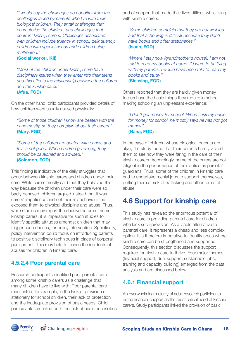*"I would say the challenges do not differ from the challenges faced by parents who live with their biological children. They entail challenges that characterise the children, and challenges that confront kinship carers. Challenges associated with children include truancy in school, delinquency, children with special needs and children being maltreated."* 

#### (Social worker, KII)

*"Most of the children under kinship care have disciplinary issues when they enter into their teens and this affects the relationship between the children and the kinship carer."* (Afua, FGD)

On the other hand, child participants provided details of how children were usually abused physically:

*"Some of those children I know are beaten with the cane mostly, so they complain about their carers."*  (Mary, FGD)

*"Some of the children are beaten with canes, and this is not good. When children go wrong, they should be cautioned and advised."*  (Solomon, FGD)

This finding is indicative of the daily struggles that occur between kinship carers and children under their care. While carers mostly said that they behaved this way because the children under their care were so badly behaved, children argued instead that it was carers' impatience and not their misbehaviour that exposed them to physical discipline and abuse. Thus, while studies may report the abusive nature of some kinship carers, it is imperative for such studies to identify specific attitudes amongst children that may trigger such abuses, for policy intervention. Specifically, policy intervention could focus on introducing parents to positive disciplinary techniques in place of corporal punishment. This may help to lessen the incidents of abuses for children in kinship care.

#### 4.5.2.4 Poor parental care

Research participants identified poor parental care among some kinship carers as a challenge that many children have to live with. Poor parental care manifested, for example, in the lack of provision of stationery for school children, their lack of protection and the inadequate provision of basic needs. Child participants lamented both the lack of basic necessities and of support that made their lives difficult while living with kinship carers.

*"Some children complain that they are not well fed and that schooling is difficult because they don't have books and other stationeries."*  (Isaac, FGD)

*"Where I stay now (grandmother's house), I am not told to read my books at home. If I were to be living with my parents, I would have been told to read my books and study."*  (Blessing, FGD)

Others reported that they are hardly given money to purchase the basic things they require in school, making schooling an unpleasant experience:

#### *"I don't get money for school. When I ask my uncle for money for school, he mostly says he has not got money."*  (Nana, FGD)

In the case of children whose biological parents are alive, the study found that their parents hardly visited them to see how they were faring in the care of their kinship carers. Accordingly, some of the carers are not diligent in the performance of their duties as parents/ guardians. Thus, some of the children in kinship care had to undertake menial jobs to support themselves, putting them at risk of trafficking and other forms of abuse.

## 4.6 Support for kinship care

This study has revealed the enormous potential of kinship care in providing parental care for children who lack such provision. As a viable alternative to parental care, it represents a cheap and less complex option. It is therefore imperative to identify areas where kinship care can be strengthened and supported. Consequently, this section discusses the support required for kinship care to thrive. Four major themes (financial support; dual support; sustainable jobs; training and capacity building) emerged from the data analysis and are discussed below.

#### 4.6.1 Financial support

An overwhelming majority of adult research participants noted financial support as the most critical need of kinship carers. Study participants linked the provision of basic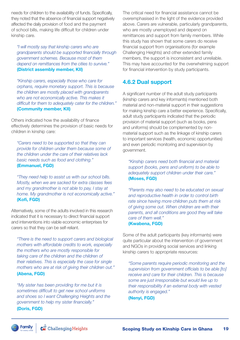needs for children to the availability of funds. Specifically, they noted that the absence of financial support negatively affected the daily provision of food and the payment of school bills, making life difficult for children under kinship care.

*"I will mostly say that kinship carers who are grandparents should be supported financially through government schemes. Because most of them depend on remittances from the cities to survive."*  (District assembly member, KII)

*"Kinship carers, especially those who care for orphans, require monetary support. This is because the children are mostly placed with grandparents who are not economically active. This makes it difficult for them to adequately cater for the children."*  (Community member, KII)

Others indicated how the availability of finance effectively determines the provision of basic needs for children in kinship care:

*"Carers need to be supported so that they can provide for children under them because some of the children under the care of their relatives lack basic needs such as food and clothing."*  (Emmanuel, FGD)

*"They need help to assist us with our school bills. Mostly, when we are sacked for extra classes fees and my grandmother is not able to pay, I stay at home. My grandmother is not economically active."*  (Kofi, FGD)

Alternatively, some of the adults involved in this research indicated that it is necessary to direct financial support and interventions into viable economic enterprises for carers so that they can be self-reliant.

*"There is the need to support carers and biological mothers with affordable credits to work, especially the mothers who are mostly responsible for taking care of the children and the children of their relatives. This is especially the case for single mothers who are at risk of giving their children out."*  (Abena, FGD)

*"My sister has been providing for me but it is sometimes difficult to get new school uniforms and shoes so I want Challenging Heights and the government to help my sister financially."*  (Doris, FGD)

The critical need for financial assistance cannot be overemphasised in the light of the evidence provided above. Carers are vulnerable, particularly grandparents, who are mostly unemployed and depend on remittances and support from family members. While this study has shown that some carers do receive financial support from organisations (for example Challenging Heights) and other extended family members, the support is inconsistent and unreliable. This may have accounted for the overwhelming support for financial intervention by study participants.

#### 4.6.2 Dual support

A significant number of the adult study participants (kinship carers and key informants) mentioned both material and non-material support in their suggestions for making kinship care a better experience. Specifically, adult study participants indicated that the periodic provision of material support (such as books, pens and uniforms) should be complemented by nonmaterial support such as the linkage of kinship carers to important services (health, economic opportunities) and even periodic monitoring and supervision by government.

*"Kinship carers need both financial and material support (books, pens and uniform) to be able to adequately support children under their care."*  (Moses, FGD)

*"Parents may also need to be educated on sexual and reproductive health in order to control birth rate since having more children puts them at risk of giving some out. When children are with their parents, and all conditions are good they will take care of them well."* 

(Kwabena, FGD)

Some of the adult participants (key informants) were quite particular about the intervention of government and NGOs in providing social services and linking kinship carers to appropriate resources:

*"Some parents require periodic monitoring and the supervision from government officials to be able [to] receive and care for their children. This is because some are just irresponsible but would live up to their responsibility if an external body with vested authority is engaged."* 

(Nenyi, FGD)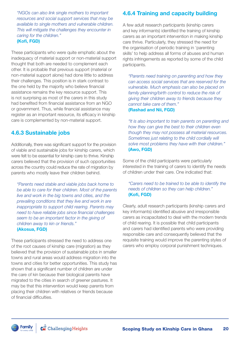*"NGOs can also link single mothers to important resources and social support services that may be available to single mothers and vulnerable children. This will mitigate the challenges they encounter in caring for the children."* (Kofi, FGD)

These participants who were quite emphatic about the inadequacy of material support or non-material support thought that both are needed to complement each other. It is probable that previous support (material or non-material support alone) had done little to address their challenges. This position is in stark contrast to the one held by the majority who believe financial assistance remains the key resource support. This is not surprising as most of the carers in this study had benefited from financial assistance from an NGO or government. Thus, while financial assistance may register as an important resource, its efficacy in kinship care is complemented by non-material support.

#### 4.6.3 Sustainable jobs

Additionally, there was significant support for the provision of viable and sustainable jobs for kinship carers, which were felt to be essential for kinship care to thrive. Kinship carers believed that the provision of such opportunities across the country could reduce the rate of migration by parents who mostly leave their children behind.

*"Parents need stable and viable jobs back home to be able to care for their children. Most of the parents live and work in the big towns and cities, and the prevailing conditions that they live and work in are inappropriate to support child rearing. Parents may need to have reliable jobs since financial challenges seem to be an important factor in the giving of children away to kin or friends."*  (Akosua, FGD)

These participants stressed the need to address one of the root causes of kinship care (migration) as they believed that the provision of sustainable jobs in smaller towns and rural areas would address migration into the towns and cities for better opportunities. This study has shown that a significant number of children are under the care of kin because their biological parents have migrated to the cities in search of greener pastures. It may be that this intervention would keep parents from placing their children with relatives or friends because of financial difficulties.

### 4.6.4 Training and capacity building

A few adult research participants (kinship carers and key informants) identified the training of kinship carers as an important intervention in making kinship care thrive. Particularly, they stressed the need for the organisation of periodic training in 'parenting skills' to help address all forms of abuses and human rights infringements as reported by some of the child participants.

*"Parents need training on parenting and how they can access social services that are reserved for the vulnerable. Much emphasis can also be placed on family planning/birth control to reduce the risk of giving their children away to friends because they cannot take care of them."*  (Rashad and Nii, FGD)

*"It is also important to train parents on parenting and how they can give the best to their children even though they may not possess all material resources. Sometimes just relating to the child cordially will solve most problems they have with their children."*  (Awo, FGD)

Some of the child participants were particularly interested in the training of carers to identify the needs of children under their care. One indicated that:

#### *"Carers need to be trained to be able to identify the needs of children so they can help children."*  (Kofi, FGD)

Clearly, adult research participants (kinship carers and key informants) identified abusive and irresponsible carers as incapacitated to deal with the modern trends of child rearing. It is possible that child participants and carers had identified parents who were providing responsible care and consequently believed that the requisite training would improve the parenting styles of carers who employ corporal punishment techniques.

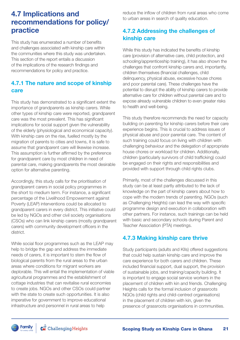## 4.7 Implications and recommendations for policy/ practice

This study has enumerated a number of benefits and challenges associated with kinship care within the communities where this study was undertaken. This section of the report entails a discussion of the implications of the research findings and recommendations for policy and practice.

#### 4.7.1 The nature and scope of kinship care

This study has demonstrated to a significant extent the importance of grandparents as kinship carers. While other types of kinship care were reported, grandparent care was the most prevalent. This has significant implications for social support given the vulnerability of the elderly (physiological and economical capacity). With kinship care on the rise, fuelled mostly by the migration of parents to cities and towns, it is safe to assume that grandparent care will likewise increase. This assumption is further affirmed by the preference for grandparent care by most children in need of parental care, making grandparents the most desirable option for alternative parenting.

Accordingly, this study calls for the prioritisation of grandparent carers in social policy programmes in the short to medium term. For instance, a significant percentage of the Livelihood Empowerment against Poverty (LEAP) interventions could be allocated to grandparent carers in every district. This initiative could be led by NGOs and other civil society organisations (CSOs) who can link kinship carers (mostly grandparent carers) with community development officers in the district.

While social floor programmes such as the LEAP may help to bridge the gap and address the immediate needs of carers, it is important to stem the flow of biological parents from the rural areas to the urban areas where conditions for migrant workers are deplorable. This will entail the implementation of viable agricultural programmes and the establishment of cottage industries that can revitalise rural economies to create jobs. NGOs and other CSOs could partner with the state to create such opportunities. It is also imperative for government to improve educational infrastructure and personnel in rural areas to help

reduce the inflow of children from rural areas who come to urban areas in search of quality education.

#### 4.7.2 Addressing the challenges of kinship care

While this study has indicated the benefits of kinship care (provision of alternative care, child protection, and schooling/apprenticeship training), it has also shown the challenges that confront kinship carers and, importantly, children themselves (financial challenges, child delinquency, physical abuse, excessive house chores and poor parental care). These challenges have the potential to disrupt the ability of kinship carers to provide alternative care for children without parental care and to expose already vulnerable children to even greater risks to health and well-being.

This study therefore recommends the need for capacity building on parenting for kinship carers before their care experience begins. This is crucial to address issues of physical abuse and poor parental care. The content of such training could focus on living with children with challenging behaviour and the delegation of appropriate house chores or workload for children. Additionally, children (particularly survivors of child trafficking) could be engaged on their rights and responsibilities and provided with support through child rights clubs.

Primarily, most of the challenges discussed in this study can be at least partly attributed to the lack of knowledge on the part of kinship carers about how to cope with the modern trends of parenting. NGOs (such as Challenging Heights) can lead the way with specific programme design and execution in collaboration with other partners. For instance, such trainings can be held with basic and secondary schools during Parent and Teacher Association (PTA) meetings.

#### 4.7.3 Making kinship care thrive

Study participants (adults and KIIs) offered suggestions that could help sustain kinship care and improve the care experience for both carers and children. These included financial support, dual support, the provision of sustainable jobs, and training/capacity building. It is important to engage social service workers in the placement of children with kin and friends. Challenging Heights calls for the formal inclusion of grassroots NGOs (child rights and child-centred organisations) in the placement of children with kin, given the presence of grassroots organisations in communities.

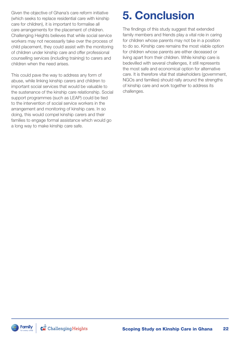Given the objective of Ghana's care reform initiative (which seeks to replace residential care with kinship care for children), it is important to formalise all care arrangements for the placement of children. Challenging Heights believes that while social service workers may not necessarily take over the process of child placement, they could assist with the monitoring of children under kinship care and offer professional counselling services (including training) to carers and children when the need arises.

This could pave the way to address any form of abuse, while linking kinship carers and children to important social services that would be valuable to the sustenance of the kinship care relationship. Social support programmes (such as LEAP) could be tied to the intervention of social service workers in the arrangement and monitoring of kinship care. In so doing, this would compel kinship carers and their families to engage formal assistance which would go a long way to make kinship care safe.

## 5. Conclusion

The findings of this study suggest that extended family members and friends play a vital role in caring for children whose parents may not be in a position to do so. Kinship care remains the most viable option for children whose parents are either deceased or living apart from their children. While kinship care is bedevilled with several challenges, it still represents the most safe and economical option for alternative care. It is therefore vital that stakeholders (government, NGOs and families) should rally around the strengths of kinship care and work together to address its challenges.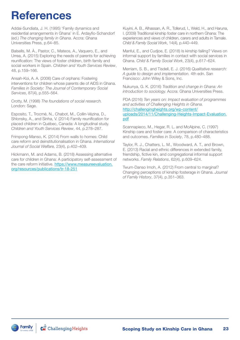## References

Addai-Sundiata, J. H. (1995) 'Family dynamics and residential arrangements in Ghana' in E. Ardayfio-Schandorf (ed.) *The changing family in Ghana*. Accra: Ghana Universities Press, p.64–85.

Balsells, M. À., Pastor, C., Mateos, A., Vaquero, E., and Urrea, A. (2015) Exploring the needs of parents for achieving reunification: The views of foster children, birth family and social workers in Spain. *Children and Youth Services Review*, 48, p.159–166.

Ansah-Koi, A. A. (2006) Care of orphans: Fostering interventions for children whose parents die of AIDS in Ghana. *Families in Society: The Journal of Contemporary Social Services*, 87(4), p.555–564.

Crotty, M. (1998) *The foundations of social research.* London: Sage.

Esposito, T., Trocmé, N., Chabot, M., Collin-Vézina, D., Shlonsky, A., and Sinha, V. (2014) Family reunification for placed children in Québec, Canada: A longitudinal study. *Children and Youth Services Review*, 44, p.278–287.

Frimpong-Manso, K. (2014) From walls to homes: Child care reform and deinstitutionalisation in Ghana. *International Journal of Social Welfare,* 23(4), p.402–409.

Hickmann, M. and Adams, B. (2018) Assessing alternative care for children in Ghana: A participatory self-assessment of the care reform initiative. [https://www.measureevaluation.](https://www.measureevaluation.org/resources/publications/tr-18-251) [org/resources/publications/tr-18-251](https://www.measureevaluation.org/resources/publications/tr-18-251)

Kuyini, A. B., Alhassan, A. R., Tollerud, I., Weld, H., and Haruna, I. (2009) Traditional kinship foster care in northern Ghana: The experiences and views of children, carers and adults in Tamale. *Child & Family Social Work*, 14(4), p.440–449.

Manful, E., and Cudjoe, E. (2018) Is kinship failing? Views on informal support by families in contact with social services in Ghana. *Child & Family Social Work*, 23(4), p.617–624.

Merriam, S. B., and Tisdell, E. J. (2016) *Qualitative research: A guide to design and implementation.* 4th edn. San Francisco: John Wiley & Sons, Inc.

Nukunya, G. K. (2016) *Tradition and change in Ghana: An introduction to sociology.* Accra: Ghana Universities Press.

PDA (2016) *Ten years on: Impact evaluation of programmes and activities of Challenging Heights in Ghana.* [http://challengingheights.org/wp-content/](http://challengingheights.org/wp-content/uploads/2014/11/Challenging-Heights-Impact-Evaluation.pdf) [uploads/2014/11/Challenging-Heights-Impact-Evaluation.](http://challengingheights.org/wp-content/uploads/2014/11/Challenging-Heights-Impact-Evaluation.pdf)

[pdf](http://challengingheights.org/wp-content/uploads/2014/11/Challenging-Heights-Impact-Evaluation.pdf)

Scannapieco, M., Hegar, R. L. and McAlpine, C. (1997) Kinship care and foster care: A comparison of characteristics and outcomes. *Families in Society*, 78, p.480–488.

Taylor, R. J., Chatters, L. M., Woodward, A. T., and Brown, E. (2013) Racial and ethnic differences in extended family, friendship, fictive kin, and congregational informal support networks. *Family Relations*, 62(4), p.609–624.

Twum-Danso Imoh, A. (2012) From central to marginal? Changing perceptions of kinship fosterage in Ghana. *Journal of Family History*, 37(4), p.351–363.